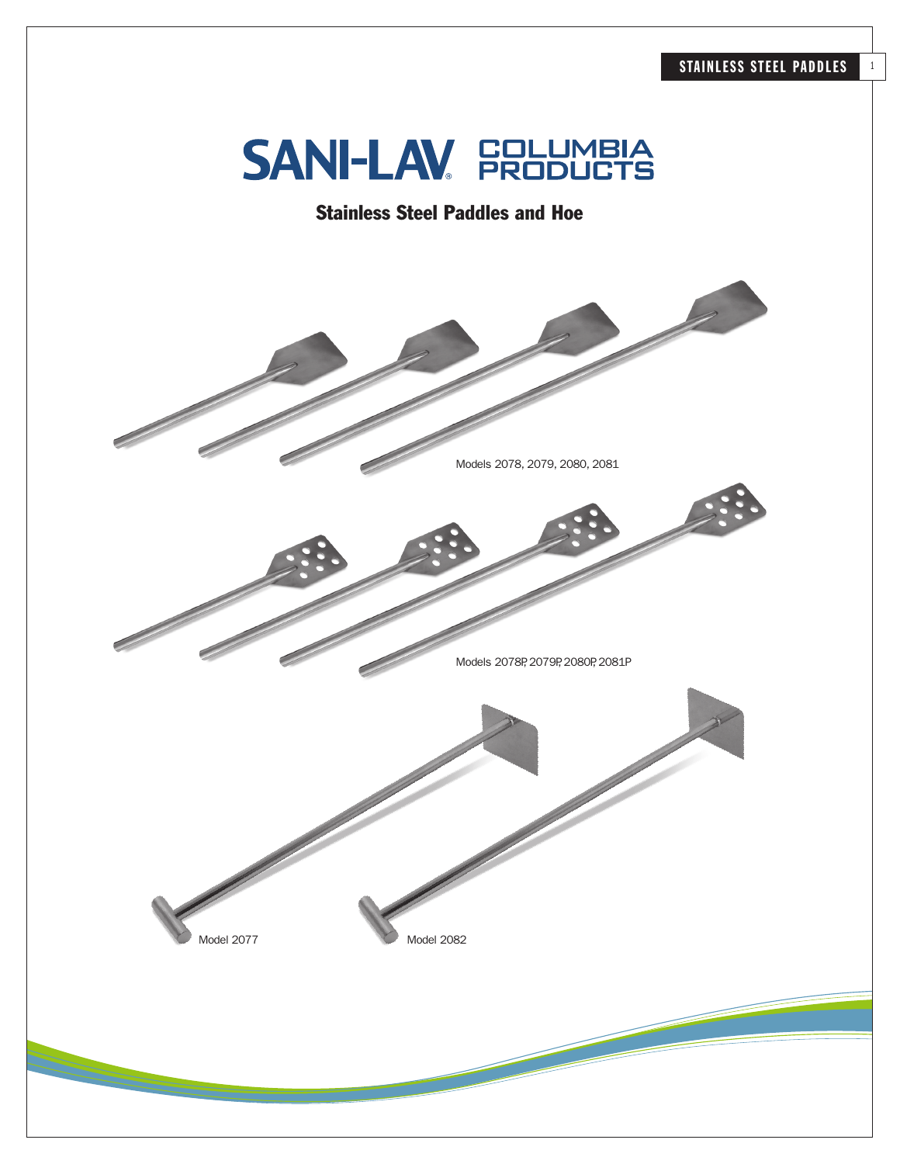